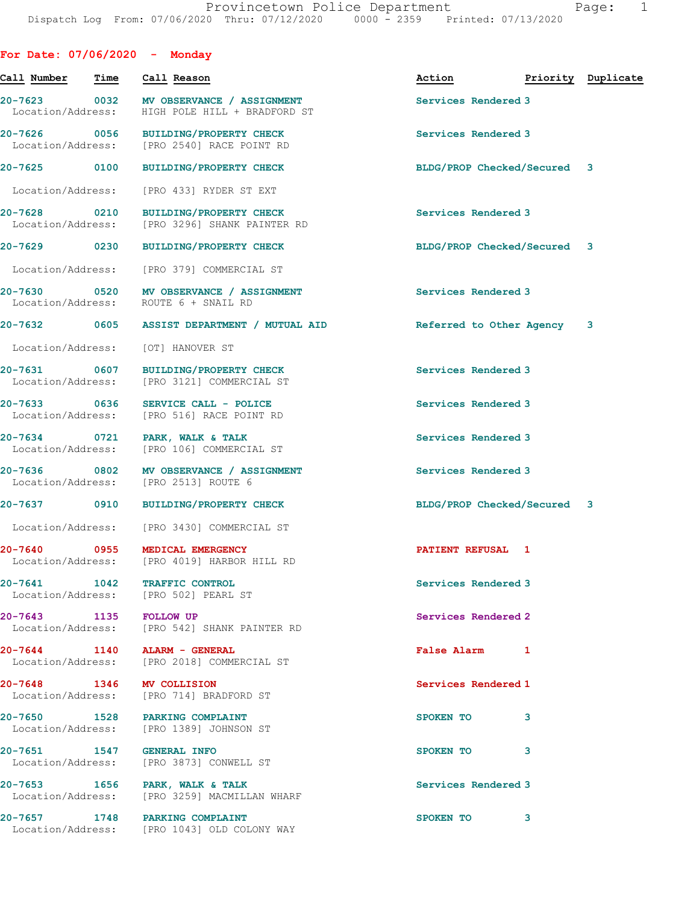|                                   |             | For Date: $07/06/2020$ - Monday                                                       |                             |                    |  |
|-----------------------------------|-------------|---------------------------------------------------------------------------------------|-----------------------------|--------------------|--|
| Call Number                       | <b>Time</b> | Call Reason                                                                           | Action                      | Priority Duplicate |  |
| Location/Address:                 |             | 20-7623 0032 MV OBSERVANCE / ASSIGNMENT<br>HIGH POLE HILL + BRADFORD ST               | Services Rendered 3         |                    |  |
| Location/Address:                 |             | 20-7626 0056 BUILDING/PROPERTY CHECK<br>[PRO 2540] RACE POINT RD                      | Services Rendered 3         |                    |  |
| 20-7625 0100                      |             | BUILDING/PROPERTY CHECK                                                               | BLDG/PROP Checked/Secured 3 |                    |  |
|                                   |             | Location/Address: [PRO 433] RYDER ST EXT                                              |                             |                    |  |
|                                   |             | 20-7628 0210 BUILDING/PROPERTY CHECK<br>Location/Address: [PRO 3296] SHANK PAINTER RD | Services Rendered 3         |                    |  |
| 20-7629 0230                      |             | <b>BUILDING/PROPERTY CHECK</b>                                                        | BLDG/PROP Checked/Secured 3 |                    |  |
|                                   |             | Location/Address: [PRO 379] COMMERCIAL ST                                             |                             |                    |  |
| 20-7630<br>Location/Address:      |             | 0520 MV OBSERVANCE / ASSIGNMENT<br>ROUTE 6 + SNAIL RD                                 | Services Rendered 3         |                    |  |
|                                   |             |                                                                                       | Referred to Other Agency 3  |                    |  |
| Location/Address:                 |             | [OT] HANOVER ST                                                                       |                             |                    |  |
| Location/Address:                 |             | 20-7631 0607 BUILDING/PROPERTY CHECK<br>[PRO 3121] COMMERCIAL ST                      | Services Rendered 3         |                    |  |
| 20-7633 0636<br>Location/Address: |             | SERVICE CALL - POLICE<br>[PRO 516] RACE POINT RD                                      | Services Rendered 3         |                    |  |
| Location/Address:                 |             | 20-7634 0721 PARK, WALK & TALK<br>[PRO 106] COMMERCIAL ST                             | Services Rendered 3         |                    |  |
|                                   |             | 20-7636 0802 MV OBSERVANCE / ASSIGNMENT<br>Location/Address: [PRO 2513] ROUTE 6       | Services Rendered 3         |                    |  |
|                                   |             | 20-7637 0910 BUILDING/PROPERTY CHECK                                                  | BLDG/PROP Checked/Secured 3 |                    |  |
|                                   |             | Location/Address: [PRO 3430] COMMERCIAL ST                                            |                             |                    |  |
| 20-7640                           | 0955        | MEDICAL EMERGENCY<br>Location/Address: [PRO 4019] HARBOR HILL RD                      | PATIENT REFUSAL 1           |                    |  |
| 20-7641 1042                      |             | TRAFFIC CONTROL<br>Location/Address: [PRO 502] PEARL ST                               | Services Rendered 3         |                    |  |
|                                   |             | 20-7643 1135 FOLLOW UP<br>Location/Address: [PRO 542] SHANK PAINTER RD                | Services Rendered 2         |                    |  |
| Location/Address:                 |             | 20-7644 1140 ALARM - GENERAL<br>[PRO 2018] COMMERCIAL ST                              | False Alarm 1               |                    |  |
|                                   |             | 20-7648 1346 MV COLLISION<br>Location/Address: [PRO 714] BRADFORD ST                  | Services Rendered 1         |                    |  |
| Location/Address:                 |             | 20-7650 1528 PARKING COMPLAINT<br>[PRO 1389] JOHNSON ST                               | SPOKEN TO                   | 3                  |  |
|                                   |             | 20-7651 1547 GENERAL INFO<br>Location/Address: [PRO 3873] CONWELL ST                  | SPOKEN TO 3                 |                    |  |
| Location/Address:                 |             | 20-7653 1656 PARK, WALK & TALK<br>[PRO 3259] MACMILLAN WHARF                          | Services Rendered 3         |                    |  |
|                                   |             | 20-7657 1748 PARKING COMPLAINT<br>Location/Address: [PRO 1043] OLD COLONY WAY         | SPOKEN TO 3                 |                    |  |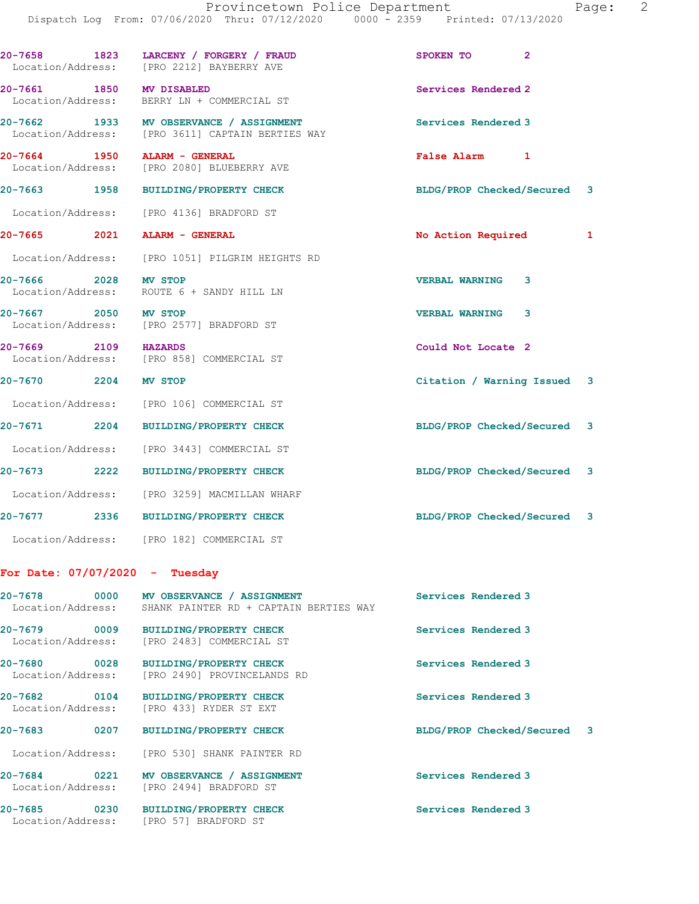Location/Address: [PRO 3611] CAPTAIN BERTIES WAY 20-7664 1950 ALARM - GENERAL False Alarm 1 [PRO 2080] BLUEBERRY AVE

20-7665 2021 ALARM - GENERAL 1 20 No Action Required 1

20-7663 1958 BUILDING/PROPERTY CHECK BLDG/PROP Checked/Secured 3

Location/Address: [PRO 4136] BRADFORD ST

Location/Address: [PRO 1051] PILGRIM HEIGHTS RD

20-7666 2028 MV STOP VERBAL WARNING 3 Location/Address: ROUTE 6 + SANDY HILL LN

20-7667 2050 MV STOP VERBAL WARNING 3 Location/Address: [PRO 2577] BRADFORD ST

20-7669 2109 HAZARDS Could Not Locate 2 Location/Address: [PRO 858] COMMERCIAL ST

20-7670 2204 MV STOP Citation / Warning Issued 3

Location/Address: [PRO 106] COMMERCIAL ST

20-7671 2204 BUILDING/PROPERTY CHECK BLDG/PROP Checked/Secured 3

Location/Address: [PRO 3443] COMMERCIAL ST

20-7673 2222 BUILDING/PROPERTY CHECK BLDG/PROP Checked/Secured 3 Location/Address: [PRO 3259] MACMILLAN WHARF

20-7677 2336 BUILDING/PROPERTY CHECK BLDG/PROP Checked/Secured 3

Location/Address: [PRO 182] COMMERCIAL ST

## For Date: 07/07/2020 - Tuesday

| Location/Address:                 | SHANK PAINTER RD + CAPTAIN BERTIES WAY                            | Services Rendered 3         |  |
|-----------------------------------|-------------------------------------------------------------------|-----------------------------|--|
| Location/Address:                 | 20-7679 0009 BUILDING/PROPERTY CHECK<br>[PRO 2483] COMMERCIAL ST  | Services Rendered 3         |  |
| 20-7680 0028<br>Location/Address: | <b>BUILDING/PROPERTY CHECK</b><br>[PRO 2490] PROVINCELANDS RD     | Services Rendered 3         |  |
| 20-7682 0104<br>Location/Address: | <b>BUILDING/PROPERTY CHECK</b><br>[PRO 433] RYDER ST EXT          | Services Rendered 3         |  |
| 0207<br>$20 - 7683$               | <b>BUILDING/PROPERTY CHECK</b>                                    | BLDG/PROP Checked/Secured 3 |  |
|                                   | Location/Address: [PRO 530] SHANK PAINTER RD                      |                             |  |
| Location/Address:                 | 20-7684 0221 MV OBSERVANCE / ASSIGNMENT<br>[PRO 2494] BRADFORD ST | Services Rendered 3         |  |
| 20-7685 0230<br>Location/Address: | <b>BUILDING/PROPERTY CHECK</b><br>[PRO 57] BRADFORD ST            | Services Rendered 3         |  |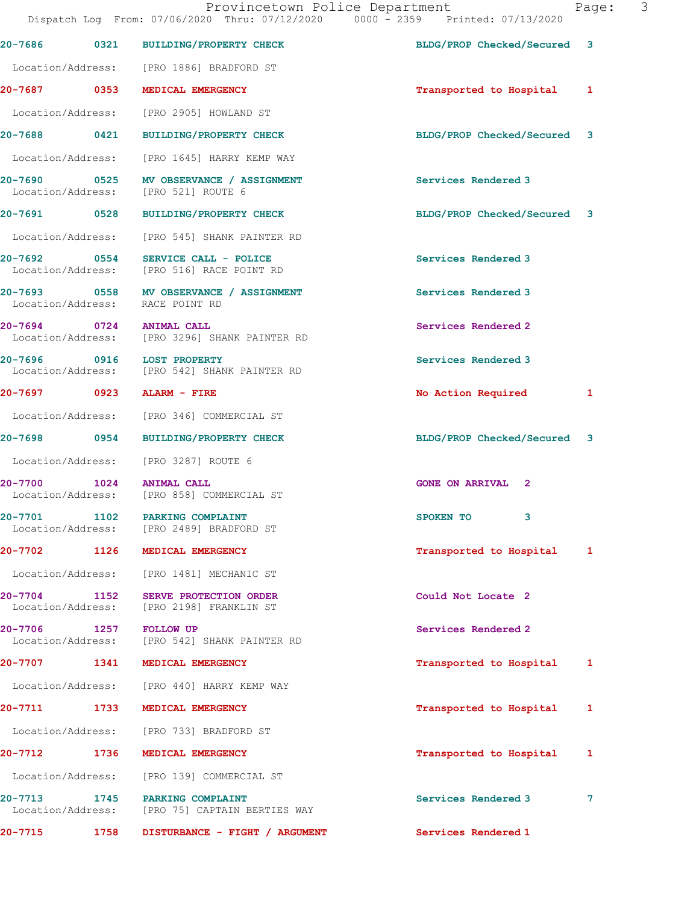|                                  |      | Dispatch Log From: 07/06/2020 Thru: 07/12/2020 0000 - 2359 Printed: 07/13/2020 |                             |   |
|----------------------------------|------|--------------------------------------------------------------------------------|-----------------------------|---|
| $20 - 7686$                      |      | 0321 BUILDING/PROPERTY CHECK                                                   | BLDG/PROP Checked/Secured 3 |   |
|                                  |      | Location/Address: [PRO 1886] BRADFORD ST                                       |                             |   |
|                                  |      | 20-7687 0353 MEDICAL EMERGENCY                                                 | Transported to Hospital 1   |   |
| Location/Address:                |      | [PRO 2905] HOWLAND ST                                                          |                             |   |
| 20-7688 0421                     |      | BUILDING/PROPERTY CHECK                                                        | BLDG/PROP Checked/Secured 3 |   |
|                                  |      | Location/Address: [PRO 1645] HARRY KEMP WAY                                    |                             |   |
|                                  |      | 20-7690 0525 MV OBSERVANCE / ASSIGNMENT<br>Location/Address: [PRO 521] ROUTE 6 | Services Rendered 3         |   |
| 20-7691 0528                     |      | <b>BUILDING/PROPERTY CHECK</b>                                                 | BLDG/PROP Checked/Secured 3 |   |
|                                  |      | Location/Address: [PRO 545] SHANK PAINTER RD                                   |                             |   |
| 20-7692 0554                     |      | SERVICE CALL - POLICE<br>Location/Address: [PRO 516] RACE POINT RD             | Services Rendered 3         |   |
|                                  |      | 20-7693 0558 MV OBSERVANCE / ASSIGNMENT<br>Location/Address: RACE POINT RD     | Services Rendered 3         |   |
|                                  |      | 20-7694 0724 ANIMAL CALL<br>Location/Address: [PRO 3296] SHANK PAINTER RD      | Services Rendered 2         |   |
|                                  |      | 20-7696 0916 LOST PROPERTY<br>Location/Address: [PRO 542] SHANK PAINTER RD     | Services Rendered 3         |   |
|                                  |      | 20-7697 0923 ALARM - FIRE                                                      | No Action Required          | 1 |
|                                  |      | Location/Address: [PRO 346] COMMERCIAL ST                                      |                             |   |
|                                  |      | 20-7698 0954 BUILDING/PROPERTY CHECK                                           | BLDG/PROP Checked/Secured 3 |   |
|                                  |      | Location/Address: [PRO 3287] ROUTE 6                                           |                             |   |
|                                  |      | 20-7700 1024 ANIMAL CALL<br>Location/Address: [PRO 858] COMMERCIAL ST          | <b>GONE ON ARRIVAL 2</b>    |   |
| 20-7701                          | 1102 | <b>PARKING COMPLAINT</b><br>Location/Address: [PRO 2489] BRADFORD ST           | SPOKEN TO<br>3              |   |
| 20-7702                          | 1126 | MEDICAL EMERGENCY                                                              | Transported to Hospital     | 1 |
|                                  |      | Location/Address: [PRO 1481] MECHANIC ST                                       |                             |   |
| $20 - 7704$<br>Location/Address: | 1152 | SERVE PROTECTION ORDER<br>[PRO 2198] FRANKLIN ST                               | Could Not Locate 2          |   |
| 20-7706                          |      | 1257 FOLLOW UP<br>Location/Address: [PRO 542] SHANK PAINTER RD                 | Services Rendered 2         |   |
| $20 - 7707$                      | 1341 | MEDICAL EMERGENCY                                                              | Transported to Hospital     | 1 |
|                                  |      | Location/Address: [PRO 440] HARRY KEMP WAY                                     |                             |   |
| 20-7711                          | 1733 | MEDICAL EMERGENCY                                                              | Transported to Hospital     | 1 |
|                                  |      | Location/Address: [PRO 733] BRADFORD ST                                        |                             |   |
| 20-7712                          | 1736 | MEDICAL EMERGENCY                                                              | Transported to Hospital     | 1 |
| Location/Address:                |      | [PRO 139] COMMERCIAL ST                                                        |                             |   |
| 20-7713<br>Location/Address:     | 1745 | PARKING COMPLAINT<br>[PRO 75] CAPTAIN BERTIES WAY                              | Services Rendered 3         | 7 |
| 20-7715                          | 1758 | DISTURBANCE - FIGHT / ARGUMENT                                                 | Services Rendered 1         |   |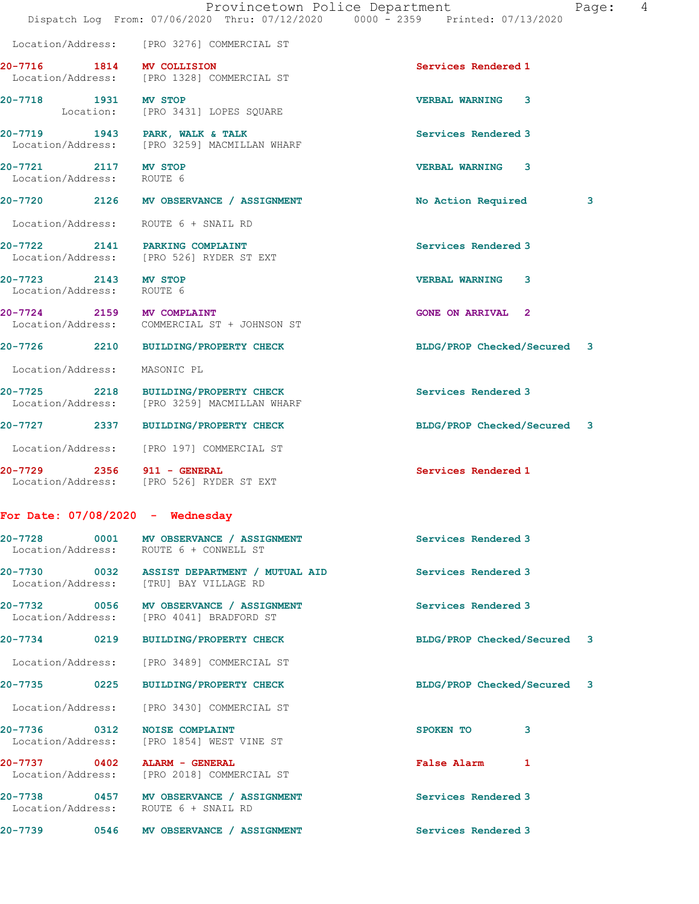|                                                   | Provincetown Police Department<br>Dispatch Log From: 07/06/2020 Thru: 07/12/2020 0000 - 2359 Printed: 07/13/2020 | 4<br>Page:                  |
|---------------------------------------------------|------------------------------------------------------------------------------------------------------------------|-----------------------------|
|                                                   | Location/Address: [PRO 3276] COMMERCIAL ST                                                                       |                             |
| 20-7716 1814 MV COLLISION                         | Location/Address: [PRO 1328] COMMERCIAL ST                                                                       | Services Rendered 1         |
| 20-7718 1931 MV STOP                              | Location: [PRO 3431] LOPES SQUARE                                                                                | <b>VERBAL WARNING 3</b>     |
|                                                   | 20-7719 1943 PARK, WALK & TALK<br>Location/Address: [PRO 3259] MACMILLAN WHARF                                   | Services Rendered 3         |
| 20-7721 2117 MV STOP<br>Location/Address: ROUTE 6 |                                                                                                                  | VERBAL WARNING 3            |
|                                                   | 20-7720 2126 MV OBSERVANCE / ASSIGNMENT                                                                          | No Action Required<br>3     |
|                                                   | Location/Address: ROUTE 6 + SNAIL RD                                                                             |                             |
|                                                   | 20-7722 2141 PARKING COMPLAINT<br>Location/Address: [PRO 526] RYDER ST EXT                                       | Services Rendered 3         |
| 20-7723 2143 MV STOP<br>Location/Address: ROUTE 6 |                                                                                                                  | <b>VERBAL WARNING</b><br>3  |
| 20-7724 2159 MV COMPLAINT                         | Location/Address: COMMERCIAL ST + JOHNSON ST                                                                     | <b>GONE ON ARRIVAL 2</b>    |
| 20-7726 2210                                      | BUILDING/PROPERTY CHECK                                                                                          | BLDG/PROP Checked/Secured 3 |
| Location/Address:                                 | MASONIC PL                                                                                                       |                             |
|                                                   | 20-7725 2218 BUILDING/PROPERTY CHECK<br>Location/Address: [PRO 3259] MACMILLAN WHARF                             | Services Rendered 3         |
|                                                   | 20-7727 2337 BUILDING/PROPERTY CHECK                                                                             | BLDG/PROP Checked/Secured 3 |
|                                                   | Location/Address: [PRO 197] COMMERCIAL ST                                                                        |                             |
| 20-7729 2356 911 - GENERAL                        | Location/Address: [PRO 526] RYDER ST EXT                                                                         | Services Rendered 1         |
| For Date: $07/08/2020 -$ Wednesday                |                                                                                                                  |                             |
| 20-7728 0001                                      | MV OBSERVANCE / ASSIGNMENT<br>Location/Address: ROUTE 6 + CONWELL ST                                             | Services Rendered 3         |
|                                                   | 20-7730 0032 ASSIST DEPARTMENT / MUTUAL AID<br>Location/Address: [TRU] BAY VILLAGE RD                            | Services Rendered 3         |
|                                                   | 20-7732 0056 MV OBSERVANCE / ASSIGNMENT<br>Location/Address: [PRO 4041] BRADFORD ST                              | Services Rendered 3         |
| 0219<br>20-7734                                   | BUILDING/PROPERTY CHECK                                                                                          | BLDG/PROP Checked/Secured 3 |
|                                                   | Location/Address: [PRO 3489] COMMERCIAL ST                                                                       |                             |
| 20-7735 0225                                      | BUILDING/PROPERTY CHECK                                                                                          | BLDG/PROP Checked/Secured 3 |
| Location/Address:                                 | [PRO 3430] COMMERCIAL ST                                                                                         |                             |
| 20-7736 0312<br>Location/Address:                 | <b>NOISE COMPLAINT</b><br>[PRO 1854] WEST VINE ST                                                                | SPOKEN TO<br>3              |
| 20-7737 0402 ALARM - GENERAL                      | Location/Address: [PRO 2018] COMMERCIAL ST                                                                       | False Alarm 1               |
|                                                   | 20-7738 0457 MV OBSERVANCE / ASSIGNMENT<br>Location/Address: ROUTE 6 + SNAIL RD                                  | Services Rendered 3         |
| 20-7739<br>0546                                   | MV OBSERVANCE / ASSIGNMENT                                                                                       | Services Rendered 3         |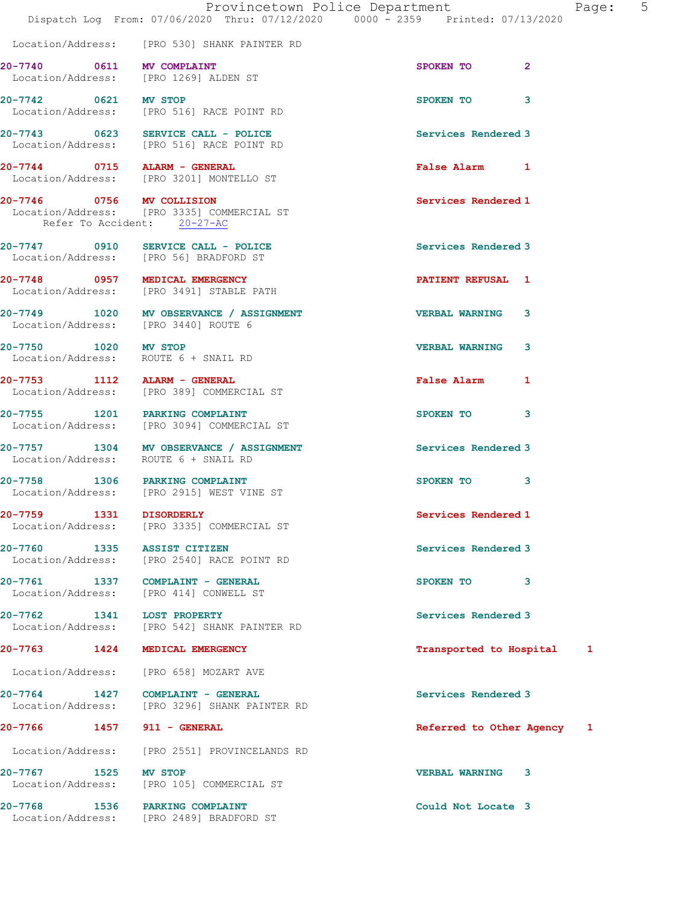|                                                          | Dispatch Log From: 07/06/2020 Thru: 07/12/2020 0000 - 2359 Printed: 07/13/2020      | Provincetown Police Department<br>Page: 5 |  |
|----------------------------------------------------------|-------------------------------------------------------------------------------------|-------------------------------------------|--|
|                                                          | Location/Address: [PRO 530] SHANK PAINTER RD                                        |                                           |  |
| 20-7740 0611 MV COMPLAINT                                | Location/Address: [PRO 1269] ALDEN ST                                               | SPOKEN TO<br>$\mathbf{2}$                 |  |
|                                                          | 20-7742 0621 MV STOP<br>Location/Address: [PRO 516] RACE POINT RD                   | SPOKEN TO<br>3                            |  |
|                                                          | 20-7743 0623 SERVICE CALL - POLICE<br>Location/Address: [PRO 516] RACE POINT RD     | Services Rendered 3                       |  |
| 20-7744 0715 ALARM - GENERAL                             | Location/Address: [PRO 3201] MONTELLO ST                                            | False Alarm 1                             |  |
| 20-7746 0756 MV COLLISION<br>Refer To Accident: 20-27-AC | Location/Address: [PRO 3335] COMMERCIAL ST                                          | Services Rendered 1                       |  |
|                                                          | 20-7747 0910 SERVICE CALL - POLICE<br>Location/Address: [PRO 56] BRADFORD ST        | Services Rendered 3                       |  |
|                                                          | 20-7748 0957 MEDICAL EMERGENCY<br>Location/Address: [PRO 3491] STABLE PATH          | <b>PATIENT REFUSAL 1</b>                  |  |
|                                                          | 20-7749 1020 MV OBSERVANCE / ASSIGNMENT<br>Location/Address: [PRO 3440] ROUTE 6     | <b>VERBAL WARNING 3</b>                   |  |
|                                                          | 20-7750 1020 MV STOP<br>Location/Address: ROUTE 6 + SNAIL RD                        | <b>VERBAL WARNING</b><br>3                |  |
| 20-7753 1112 ALARM - GENERAL                             | Location/Address: [PRO 389] COMMERCIAL ST                                           | False Alarm 1                             |  |
| 20-7755 1201 PARKING COMPLAINT                           | Location/Address: [PRO 3094] COMMERCIAL ST                                          | SPOKEN TO<br>3                            |  |
|                                                          | 20-7757 1304 MV OBSERVANCE / ASSIGNMENT<br>Location/Address: ROUTE 6 + SNAIL RD     | Services Rendered 3                       |  |
|                                                          | 20-7758 1306 PARKING COMPLAINT<br>Location/Address: [PRO 2915] WEST VINE ST         | SPOKEN TO 3                               |  |
| 20-7759 1331 DISORDERLY                                  | Location/Address: [PRO 3335] COMMERCIAL ST                                          | Services Rendered 1                       |  |
| 20-7760 1335 ASSIST CITIZEN                              | Location/Address: [PRO 2540] RACE POINT RD                                          | Services Rendered 3                       |  |
|                                                          | 20-7761 1337 COMPLAINT - GENERAL<br>Location/Address: [PRO 414] CONWELL ST          | SPOKEN TO 3                               |  |
| 20-7762 1341 LOST PROPERTY                               | Location/Address: [PRO 542] SHANK PAINTER RD                                        | Services Rendered 3                       |  |
| 20-7763 1424 MEDICAL EMERGENCY                           |                                                                                     | Transported to Hospital 1                 |  |
|                                                          | Location/Address: [PRO 658] MOZART AVE                                              |                                           |  |
|                                                          | $20-7764$ 1427 COMPLAINT - GENERAL<br>Location/Address: [PRO 3296] SHANK PAINTER RD | Services Rendered 3                       |  |
| 20-7766 1457 911 - GENERAL                               |                                                                                     | Referred to Other Agency 1                |  |
|                                                          | Location/Address: [PRO 2551] PROVINCELANDS RD                                       |                                           |  |
| 20-7767 1525 MV STOP                                     | Location/Address: [PRO 105] COMMERCIAL ST                                           | VERBAL WARNING 3                          |  |
| 20-7768 1536 PARKING COMPLAINT                           | Location/Address: [PRO 2489] BRADFORD ST                                            | Could Not Locate 3                        |  |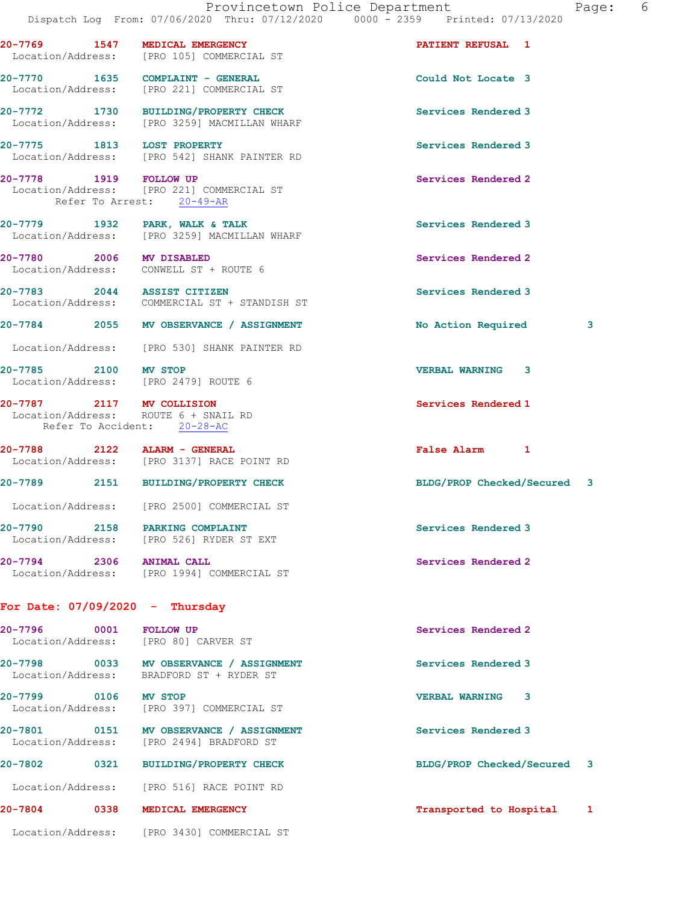|                          |                                                                                                  | Provincetown Police Department<br>Page:<br>Dispatch Log From: 07/06/2020 Thru: 07/12/2020 0000 - 2359 Printed: 07/13/2020 | 6 |
|--------------------------|--------------------------------------------------------------------------------------------------|---------------------------------------------------------------------------------------------------------------------------|---|
|                          | 20-7769 1547 MEDICAL EMERGENCY<br>Location/Address: [PRO 105] COMMERCIAL ST                      | <b>PATIENT REFUSAL 1</b>                                                                                                  |   |
|                          | 20-7770 1635 COMPLAINT - GENERAL<br>Location/Address: [PRO 221] COMMERCIAL ST                    | Could Not Locate 3                                                                                                        |   |
|                          | 20-7772 1730 BUILDING/PROPERTY CHECK<br>Location/Address: [PRO 3259] MACMILLAN WHARF             | Services Rendered 3                                                                                                       |   |
|                          | 20-7775 1813 LOST PROPERTY<br>Location/Address: [PRO 542] SHANK PAINTER RD                       | Services Rendered 3                                                                                                       |   |
| 20-7778 1919 FOLLOW UP   | Location/Address: [PRO 221] COMMERCIAL ST<br>Refer To Arrest: 20-49-AR                           | Services Rendered 2                                                                                                       |   |
|                          | 20-7779 1932 PARK, WALK & TALK<br>Location/Address: [PRO 3259] MACMILLAN WHARF                   | Services Rendered 3                                                                                                       |   |
| 20-7780 2006 MV DISABLED | Location/Address: CONWELL ST + ROUTE 6                                                           | Services Rendered 2                                                                                                       |   |
|                          | 20-7783 2044 ASSIST CITIZEN<br>Location/Address: COMMERCIAL ST + STANDISH ST                     | Services Rendered 3                                                                                                       |   |
|                          | 20-7784 2055 MV OBSERVANCE / ASSIGNMENT                                                          | 3<br>No Action Required                                                                                                   |   |
|                          | Location/Address: [PRO 530] SHANK PAINTER RD                                                     |                                                                                                                           |   |
| 20-7785 2100 MV STOP     | Location/Address: [PRO 2479] ROUTE 6                                                             | <b>VERBAL WARNING 3</b>                                                                                                   |   |
|                          | 20-7787 2117 MV COLLISION<br>Location/Address: ROUTE 6 + SNAIL RD<br>Refer To Accident: 20-28-AC | Services Rendered 1                                                                                                       |   |
|                          | 20-7788 2122 ALARM - GENERAL<br>Location/Address: [PRO 3137] RACE POINT RD                       | False Alarm 1                                                                                                             |   |
|                          | 20-7789 2151 BUILDING/PROPERTY CHECK                                                             | BLDG/PROP Checked/Secured 3                                                                                               |   |
|                          | Location/Address: [PRO 2500] COMMERCIAL ST                                                       |                                                                                                                           |   |
|                          | 20-7790 2158 PARKING COMPLAINT<br>Location/Address: [PRO 526] RYDER ST EXT                       | Services Rendered 3                                                                                                       |   |
| 20-7794 2306 ANIMAL CALL | Location/Address: [PRO 1994] COMMERCIAL ST                                                       | Services Rendered 2                                                                                                       |   |

## For Date: 07/09/2020 - Thursday

| 20-7796                          | 0001 | <b>FOLLOW UP</b><br>Location/Address: [PRO 80] CARVER ST | Services Rendered 2          |
|----------------------------------|------|----------------------------------------------------------|------------------------------|
| $20 - 7798$<br>Location/Address: | 0033 | MV OBSERVANCE / ASSIGNMENT<br>BRADFORD ST + RYDER ST     | Services Rendered 3          |
| $20 - 7799$<br>Location/Address: | 0106 | MV STOP<br>[PRO 397]<br>COMMERCIAL ST                    | 3<br><b>VERBAL WARNING</b>   |
| 20-7801<br>Location/Address:     | 0151 | MV OBSERVANCE / ASSIGNMENT<br>[PRO 2494] BRADFORD ST     | Services Rendered 3          |
| $20 - 7802$                      | 0321 | <b>BUILDING/PROPERTY CHECK</b>                           | BLDG/PROP Checked/Secured 3  |
| Location/Address:                |      | RACE POINT RD<br>[PRO 516]                               |                              |
| 20-7804                          | 0338 | MEDICAL EMERGENCY                                        | Transported to Hospital<br>1 |
| Location/Address:                |      | TPRO 34301 COMMERCIAL ST                                 |                              |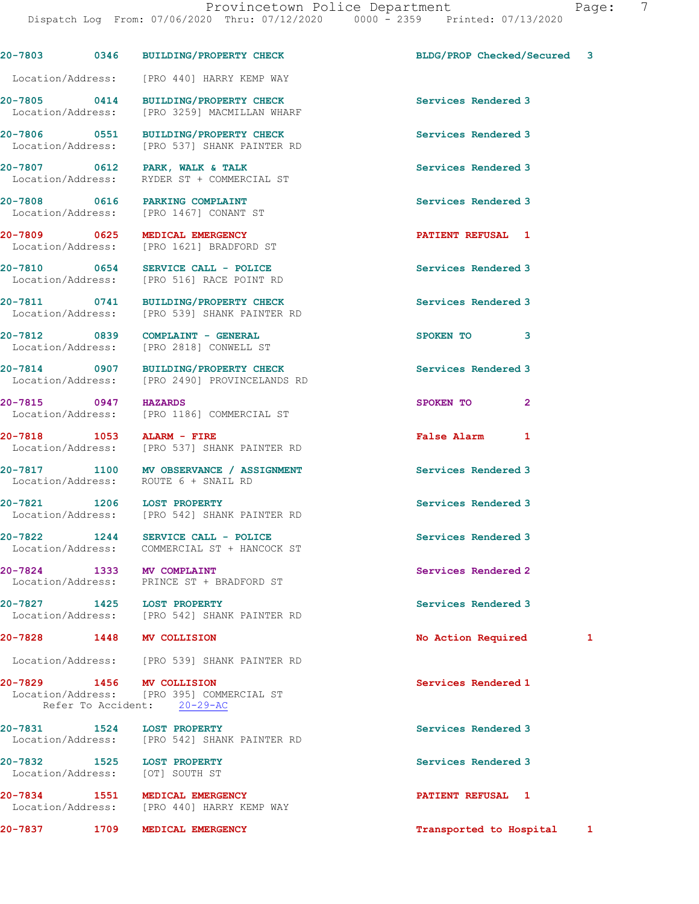Dispatch Log From: 07/06/2020 Thru: 07/12/2020 0000 - 2359 Printed: 07/13/2020 20-7803 0346 BUILDING/PROPERTY CHECK BLDG/PROP Checked/Secured 3 Location/Address: [PRO 440] HARRY KEMP WAY 20-7805 0414 BUILDING/PROPERTY CHECK Services Rendered 3 Location/Address: [PRO 3259] MACMILLAN WHARF 20-7806 0551 BUILDING/PROPERTY CHECK Services Rendered 3 Location/Address: [PRO 537] SHANK PAINTER RD 20-7807 0612 PARK, WALK & TALK Services Rendered 3 Location/Address: RYDER ST + COMMERCIAL ST 20-7808 0616 PARKING COMPLAINT Services Rendered 3 Location/Address: [PRO 1467] CONANT ST 20-7809 0625 MEDICAL EMERGENCY PATIENT REFUSAL 1 Location/Address: [PRO 1621] BRADFORD ST 20-7810 0654 SERVICE CALL - POLICE Services Rendered 3 Location/Address: [PRO 516] RACE POINT RD 20-7811 0741 BUILDING/PROPERTY CHECK Services Rendered 3 Location/Address: [PRO 539] SHANK PAINTER RD 20-7812 0839 COMPLAINT - GENERAL SPOKEN TO 3 Location/Address: [PRO 2818] CONWELL ST 20-7814 0907 BUILDING/PROPERTY CHECK Services Rendered 3 Location/Address: [PRO 2490] PROVINCELANDS RD 20-7815 0947 HAZARDS SPOKEN TO 2 Location/Address: [PRO 1186] COMMERCIAL ST 20-7818 1053 ALARM - FIRE False Alarm 1 Location/Address: [PRO 537] SHANK PAINTER RD 20-7817 1100 MV OBSERVANCE / ASSIGNMENT Services Rendered 3 Location/Address: ROUTE 6 + SNAIL RD 20-7821 1206 LOST PROPERTY Services Rendered 3 Location/Address: [PRO 542] SHANK PAINTER RD 20-7822 1244 SERVICE CALL - POLICE Services Rendered 3 Location/Address: COMMERCIAL ST + HANCOCK ST 20-7824 1333 MV COMPLAINT Services Rendered 2 Location/Address: PRINCE ST + BRADFORD ST 20-7827 1425 LOST PROPERTY Services Rendered 3 Location/Address: [PRO 542] SHANK PAINTER RD 20-7828 1448 MV COLLISION 20-7828 20-7828 1448 No Location/Address: [PRO 539] SHANK PAINTER RD 20-7829 1456 MV COLLISION Services Rendered 1 Location/Address: [PRO 395] COMMERCIAL ST Refer To Accident: 20-29-AC 20-7831 1524 LOST PROPERTY Services Rendered 3 Location/Address: [PRO 542] SHANK PAINTER RD 20-7832 1525 LOST PROPERTY Services Rendered 3 Location/Address: [OT] SOUTH ST

20-7834 1551 MEDICAL EMERGENCY 1 20-7834 PATIENT REFUSAL 1 Location/Address: [PRO 440] HARRY KEMP WAY

20-7837 1709 MEDICAL EMERGENCY 1200 1 1 12 Transported to Hospital 1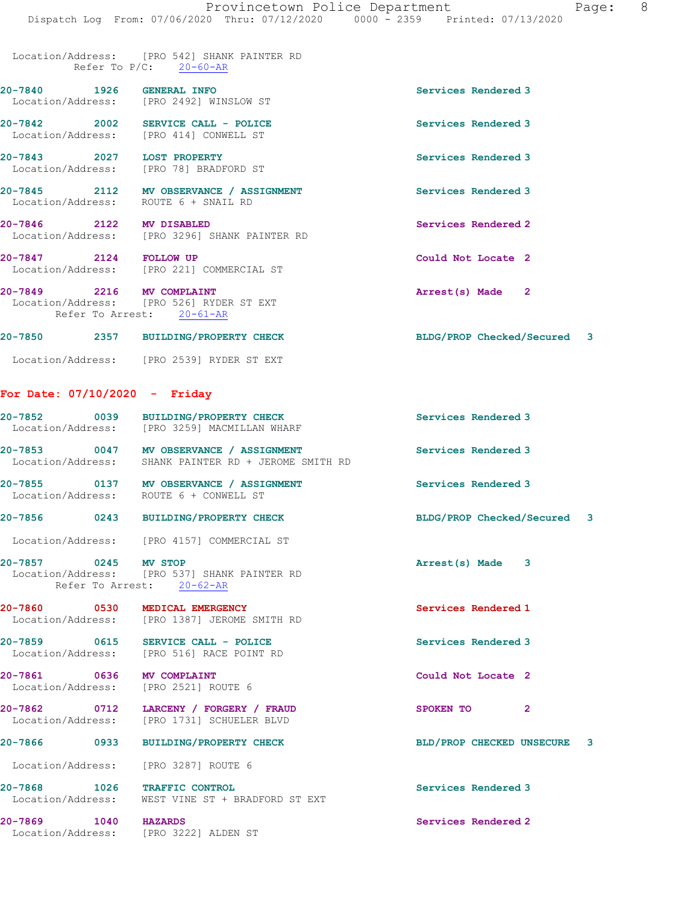Location/Address: [PRO 542] SHANK PAINTER RD Refer To  $P/C: 20-60-AR$ 

- 20-7840 1926 GENERAL INFO Services Rendered 3 Location/Address: [PRO 2492] WINSLOW ST
- 20-7842 2002 SERVICE CALL POLICE Services Rendered 3 Location/Address: [PRO 414] CONWELL ST
- 20-7843 2027 LOST PROPERTY **Services Rendered 3** Location/Address: [PRO 78] BRADFORD ST
- 20-7845 2112 MV OBSERVANCE / ASSIGNMENT Services Rendered 3 Location/Address: ROUTE 6 + SNAIL RD
- 20-7846 2122 MV DISABLED 20-7846 Services Rendered 2 Location/Address: [PRO 3296] SHANK PAINTER RD
- 20-7847 2124 FOLLOW UP Could Not Locate 2 Location/Address: [PRO 221] COMMERCIAL ST
- 20-7849 2216 MV COMPLAINT 2001 2002 2003 Arrest(s) Made 2 Location/Address: [PRO 526] RYDER ST EXT Refer To Arrest: 20-61-AR
- 20-7850 2357 BUILDING/PROPERTY CHECK BLDG/PROP Checked/Secured 3
- Location/Address: [PRO 2539] RYDER ST EXT

## For Date: 07/10/2020 - Friday

|                           | 20-7852 0039 BUILDING/PROPERTY CHECK<br>Location/Address: [PRO 3259] MACMILLAN WHARF            | Services Rendered 3         |              |  |
|---------------------------|-------------------------------------------------------------------------------------------------|-----------------------------|--------------|--|
|                           | 20-7853 0047 MV OBSERVANCE / ASSIGNMENT<br>Location/Address: SHANK PAINTER RD + JEROME SMITH RD | Services Rendered 3         |              |  |
|                           | 20-7855 0137 MV OBSERVANCE / ASSIGNMENT<br>Location/Address: ROUTE 6 + CONWELL ST               | Services Rendered 3         |              |  |
|                           | 20-7856 0243 BUILDING/PROPERTY CHECK                                                            | BLDG/PROP Checked/Secured 3 |              |  |
|                           | Location/Address: [PRO 4157] COMMERCIAL ST                                                      |                             |              |  |
| 20-7857 0245 MV STOP      | Location/Address: [PRO 537] SHANK PAINTER RD<br>Refer To Arrest: 20-62-AR                       | Arrest(s) Made 3            |              |  |
|                           | 20-7860 0530 MEDICAL EMERGENCY<br>Location/Address: [PRO 1387] JEROME SMITH RD                  | Services Rendered 1         |              |  |
|                           | 20-7859 0615 SERVICE CALL - POLICE<br>Location/Address: [PRO 516] RACE POINT RD                 | Services Rendered 3         |              |  |
| 20-7861 0636 MV COMPLAINT | Location/Address: [PRO 2521] ROUTE 6                                                            | Could Not Locate 2          |              |  |
|                           | 20-7862 0712 LARCENY / FORGERY / FRAUD<br>Location/Address: [PRO 1731] SCHUELER BLVD            | SPOKEN TO                   | $\mathbf{2}$ |  |
| 20-7866 0933              | BUILDING/PROPERTY CHECK                                                                         | BLD/PROP CHECKED UNSECURE 3 |              |  |
|                           | Location/Address: [PRO 3287] ROUTE 6                                                            |                             |              |  |
|                           | 20-7868 1026 TRAFFIC CONTROL<br>Location/Address: WEST VINE ST + BRADFORD ST EXT                | Services Rendered 3         |              |  |
| 20-7869 1040 HAZARDS      | Location/Address: [PRO 3222] ALDEN ST                                                           | Services Rendered 2         |              |  |
|                           |                                                                                                 |                             |              |  |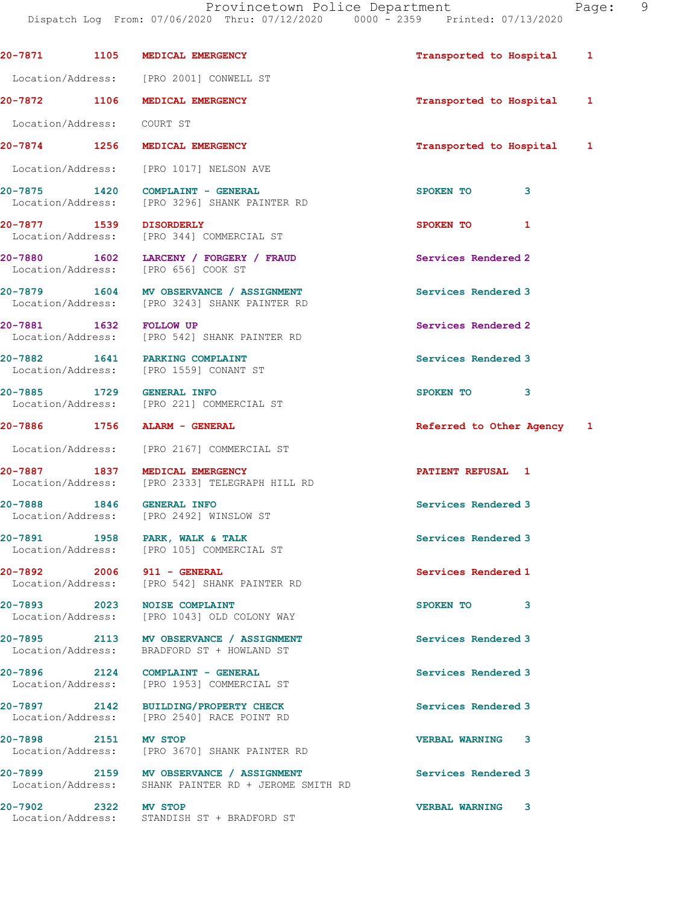Dispatch Log From: 07/06/2020 Thru: 07/12/2020 0000 - 2359 Printed: 07/13/2020 20-7871 1105 MEDICAL EMERGENCY 120 1 12 Transported to Hospital 1 Location/Address: [PRO 2001] CONWELL ST 20-7872 1106 MEDICAL EMERGENCY 1 20 Transported to Hospital 1 Location/Address: COURT ST 20-7874 1256 MEDICAL EMERGENCY **1200 1200 1200** 12 Transported to Hospital 1 Location/Address: [PRO 1017] NELSON AVE 20-7875 1420 COMPLAINT - GENERAL SPOKEN TO 3<br>
Location/Address: [PRO 3296] SHANK PAINTER RD [PRO 3296] SHANK PAINTER RD 20-7877 1539 DISORDERLY SPOKEN TO 1 Location/Address: [PRO 344] COMMERCIAL ST 20-7880 1602 LARCENY / FORGERY / FRAUD Services Rendered 2 Location/Address: [PRO 656] COOK ST 20-7879 1604 MV OBSERVANCE / ASSIGNMENT Services Rendered 3 Location/Address: [PRO 3243] SHANK PAINTER RD 20-7881 1632 FOLLOW UP Services Rendered 2<br>
Location/Address: [PRO 542] SHANK PAINTER RD [PRO 542] SHANK PAINTER RD 20-7882 1641 PARKING COMPLAINT Services Rendered 3 Location/Address: [PRO 1559] CONANT ST 20-7885 1729 GENERAL INFO 3 Location/Address: [PRO 221] COMMERCIAL ST 20-7886 1756 ALARM - GENERAL Referred to Other Agency 1 Location/Address: [PRO 2167] COMMERCIAL ST 20-7887 1837 MEDICAL EMERGENCY 1837 1 Location/Address: [PRO 2333] TELEGRAPH HILL RD 20-7888 1846 GENERAL INFO Services Rendered 3 Location/Address: [PRO 2492] WINSLOW ST 20-7891 1958 PARK, WALK & TALK Services Rendered 3 Location/Address: [PRO 105] COMMERCIAL ST 20-7892 2006 911 - GENERAL Services Rendered 1 Location/Address: [PRO 542] SHANK PAINTER RD 20-7893 2023 NOISE COMPLAINT **SPOKEN TO** 3 Location/Address: [PRO 1043] OLD COLONY WAY 20-7895 2113 MV OBSERVANCE / ASSIGNMENT Services Rendered 3 Location/Address: BRADFORD ST + HOWLAND ST 20-7896 2124 COMPLAINT - GENERAL Services Rendered 3 Location/Address: [PRO 1953] COMMERCIAL ST 20-7897 2142 BUILDING/PROPERTY CHECK Services Rendered 3 Location/Address: [PRO 2540] RACE POINT RD 20-7898 2151 MV STOP VERBAL WARNING 3 [PRO 3670] SHANK PAINTER RD 20-7899 2159 MV OBSERVANCE / ASSIGNMENT Services Rendered 3 Location/Address: SHANK PAINTER RD + JEROME SMITH RD 20-7902 2322 MV STOP VERBAL WARNING 3 Location/Address: STANDISH ST + BRADFORD ST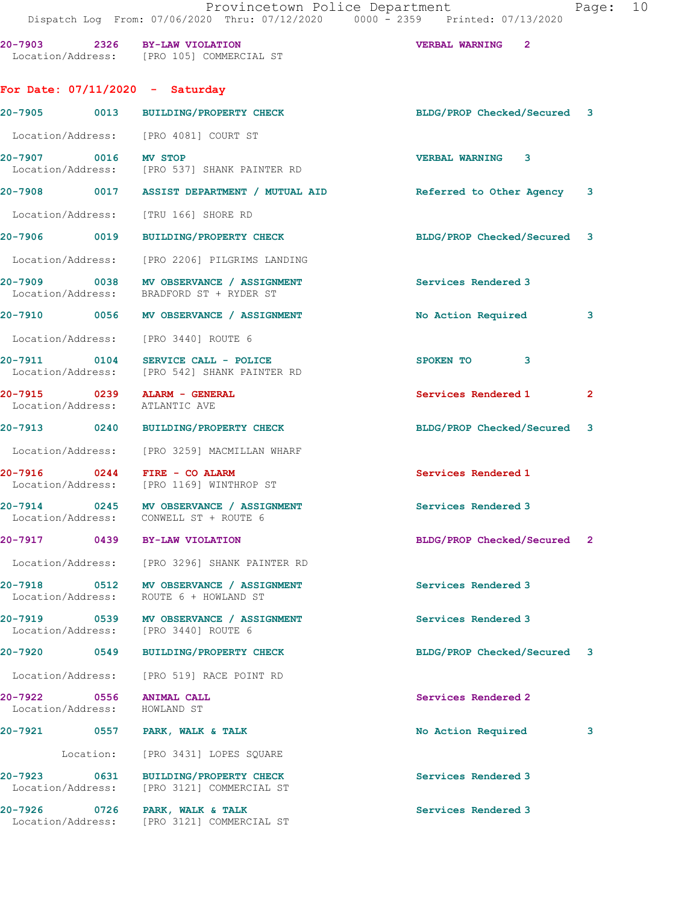20-7903 2326 BY-LAW VIOLATION VERBAL WARNING 2

|                      | Location/Address: [PRO 105] COMMERCIAL ST                                           |                                                                        |                |
|----------------------|-------------------------------------------------------------------------------------|------------------------------------------------------------------------|----------------|
|                      | For Date: $07/11/2020 -$ Saturday                                                   |                                                                        |                |
|                      | 20-7905 0013 BUILDING/PROPERTY CHECK                                                | BLDG/PROP Checked/Secured 3                                            |                |
|                      | Location/Address: [PRO 4081] COURT ST                                               |                                                                        |                |
| 20-7907 0016 MV STOP | Location/Address: [PRO 537] SHANK PAINTER RD                                        | <b>VERBAL WARNING 3</b>                                                |                |
|                      |                                                                                     | 20-7908 0017 ASSIST DEPARTMENT / MUTUAL AID Referred to Other Agency 3 |                |
|                      | Location/Address: [TRU 166] SHORE RD                                                |                                                                        |                |
|                      | 20-7906 0019 BUILDING/PROPERTY CHECK                                                | BLDG/PROP Checked/Secured 3                                            |                |
|                      | Location/Address: [PRO 2206] PILGRIMS LANDING                                       |                                                                        |                |
|                      | 20-7909 0038 MV OBSERVANCE / ASSIGNMENT<br>Location/Address: BRADFORD ST + RYDER ST | Services Rendered 3                                                    |                |
|                      | 20-7910 0056 MV OBSERVANCE / ASSIGNMENT                                             | No Action Required 3                                                   |                |
|                      | Location/Address: [PRO 3440] ROUTE 6                                                |                                                                        |                |
|                      | 20-7911 0104 SERVICE CALL - POLICE<br>Location/Address: [PRO 542] SHANK PAINTER RD  | SPOKEN TO 3                                                            |                |
|                      | 20-7915 0239 ALARM - GENERAL<br>Location/Address: ATLANTIC AVE                      | Services Rendered 1                                                    | $\overline{2}$ |
|                      | 20-7913 0240 BUILDING/PROPERTY CHECK                                                | BLDG/PROP Checked/Secured 3                                            |                |
|                      | Location/Address: [PRO 3259] MACMILLAN WHARF                                        |                                                                        |                |
| 20-7916 0244         | FIRE - CO ALARM<br>Location/Address: [PRO 1169] WINTHROP ST                         | Services Rendered 1                                                    |                |
|                      | 20-7914 0245 MV OBSERVANCE / ASSIGNMENT<br>Location/Address: CONWELL ST + ROUTE 6   | Services Rendered 3                                                    |                |
|                      | 20-7917 0439 BY-LAW VIOLATION                                                       | BLDG/PROP Checked/Secured 2                                            |                |
|                      | Location/Address: [PRO 3296] SHANK PAINTER RD                                       |                                                                        |                |
|                      | Location/Address: ROUTE 6 + HOWLAND ST                                              | Services Rendered 3                                                    |                |
|                      | 20-7919 0539 MV OBSERVANCE / ASSIGNMENT<br>Location/Address: [PRO 3440] ROUTE 6     | Services Rendered 3                                                    |                |
|                      | 20-7920 0549 BUILDING/PROPERTY CHECK                                                | BLDG/PROP Checked/Secured 3                                            |                |
|                      | Location/Address: [PRO 519] RACE POINT RD                                           |                                                                        |                |
|                      | 20-7922 0556 ANIMAL CALL<br>Location/Address: HOWLAND ST                            | Services Rendered 2                                                    |                |
|                      | 20-7921 0557 PARK, WALK & TALK                                                      | No Action Required                                                     | 3              |
|                      | Location: [PRO 3431] LOPES SQUARE                                                   |                                                                        |                |
|                      | 20-7923 0631 BUILDING/PROPERTY CHECK<br>Location/Address: [PRO 3121] COMMERCIAL ST  | Services Rendered 3                                                    |                |
|                      | 20-7926 0726 PARK, WALK & TALK<br>Location/Address: [PRO 3121] COMMERCIAL ST        | Services Rendered 3                                                    |                |
|                      |                                                                                     |                                                                        |                |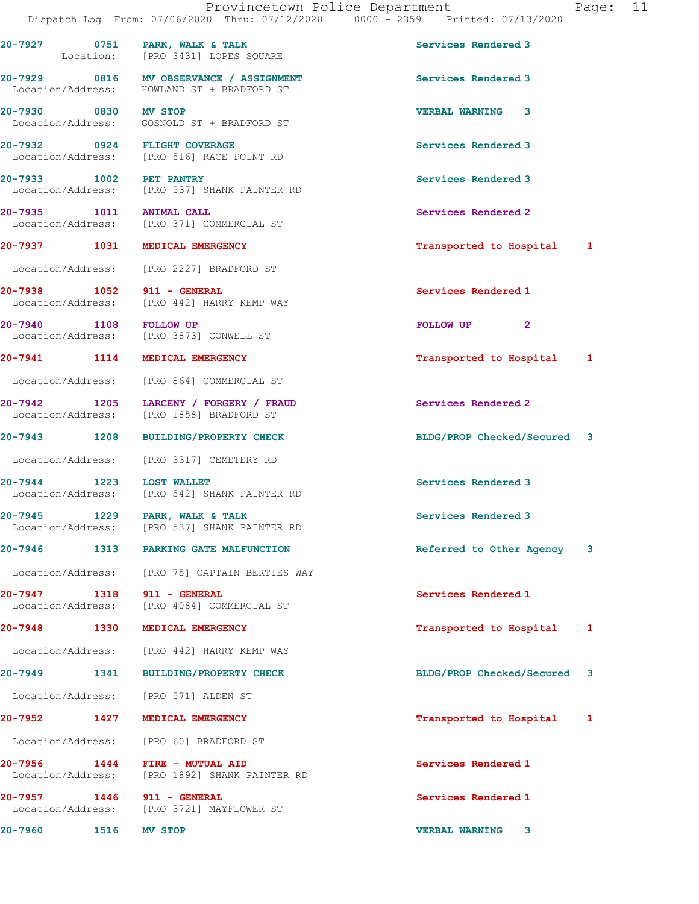Provincetown Police Department Fage: 11 Dispatch Log From: 07/06/2020 Thru: 07/12/2020 0000 - 2359 Printed: 07/13/2020 20-7927 0751 PARK, WALK & TALK Services Rendered 3 Location: [PRO 3431] LOPES SQUARE 20-7929 0816 MV OBSERVANCE / ASSIGNMENT Services Rendered 3 Location/Address: HOWLAND ST + BRADFORD ST 20-7930 0830 MV STOP VERBAL WARNING 3 Location/Address: GOSNOLD ST + BRADFORD ST 20-7932 0924 FLIGHT COVERAGE Services Rendered 3 Location/Address: [PRO 516] RACE POINT RD 20-7933 1002 PET PANTRY Services Rendered 3 Location/Address: [PRO 537] SHANK PAINTER RD 20-7935 1011 ANIMAL CALL Services Rendered 2 Location/Address: [PRO 371] COMMERCIAL ST 20-7937 1031 MEDICAL EMERGENCY Transported to Hospital 1 Location/Address: [PRO 2227] BRADFORD ST 20-7938 1052 911 - GENERAL Services Rendered 1 Location/Address: [PRO 442] HARRY KEMP WAY 20-7940 1108 FOLLOW UP 200 100 FOLLOW UP 2 Location/Address: [PRO 3873] CONWELL ST 20-7941 1114 MEDICAL EMERGENCY 120 1 12 Transported to Hospital 1 Location/Address: [PRO 864] COMMERCIAL ST 20-7942 1205 LARCENY / FORGERY / FRAUD Services Rendered 2<br>
Location/Address: [PRO 1858] BRADFORD ST [PRO 1858] BRADFORD ST 20-7943 1208 BUILDING/PROPERTY CHECK BLDG/PROP Checked/Secured 3 Location/Address: [PRO 3317] CEMETERY RD 20-7944 1223 LOST WALLET<br>
Location/Address: [PRO 542] SHANK PAINTER RD<br>
Services Rendered 3 [PRO 542] SHANK PAINTER RD 20-7945 1229 PARK, WALK & TALK Services Rendered 3 Location/Address: [PRO 537] SHANK PAINTER RD 20-7946 1313 PARKING GATE MALFUNCTION Referred to Other Agency 3 Location/Address: [PRO 75] CAPTAIN BERTIES WAY 20-7947 1318 911 - GENERAL Services Rendered 1 Location/Address: [PRO 4084] COMMERCIAL ST 20-7948 1330 MEDICAL EMERGENCY **1200 1200 1200** 12 Transported to Hospital 1 Location/Address: [PRO 442] HARRY KEMP WAY 20-7949 1341 BUILDING/PROPERTY CHECK BLDG/PROP Checked/Secured 3 Location/Address: [PRO 571] ALDEN ST 20-7952 1427 MEDICAL EMERGENCY **1200 1200 1200** 12 Transported to Hospital 1 Location/Address: [PRO 60] BRADFORD ST 20-7956 1444 FIRE - MUTUAL AID Services Rendered 1 Location/Address: [PRO 1892] SHANK PAINTER RD 20-7957 1446 911 - GENERAL Services Rendered 1

Location/Address: [PRO 3721] MAYFLOWER ST

20-7960 1516 MV STOP VERBAL WARNING 3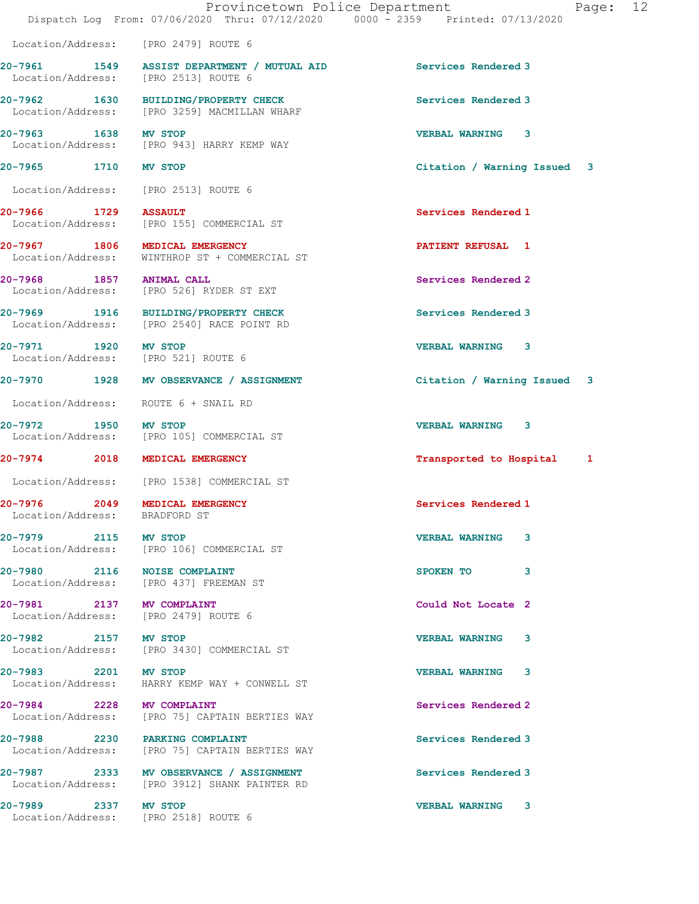|                                               | Dispatch Log From: 07/06/2020 Thru: 07/12/2020 0000 - 2359 Printed: 07/13/2020                          | Provincetown Police Department<br>12<br>Page: |
|-----------------------------------------------|---------------------------------------------------------------------------------------------------------|-----------------------------------------------|
|                                               | Location/Address: [PRO 2479] ROUTE 6                                                                    |                                               |
|                                               | 20-7961 1549 ASSIST DEPARTMENT / MUTUAL AID Services Rendered 3<br>Location/Address: [PRO 2513] ROUTE 6 |                                               |
|                                               | 20-7962 1630 BUILDING/PROPERTY CHECK<br>Location/Address: [PRO 3259] MACMILLAN WHARF                    | Services Rendered 3                           |
| 20-7963 1638 MV STOP                          | Location/Address: [PRO 943] HARRY KEMP WAY                                                              | <b>VERBAL WARNING 3</b>                       |
| 20-7965 1710 MV STOP                          |                                                                                                         | Citation / Warning Issued 3                   |
|                                               | Location/Address: [PRO 2513] ROUTE 6                                                                    |                                               |
| 20-7966 1729 ASSAULT                          | Location/Address: [PRO 155] COMMERCIAL ST                                                               | Services Rendered 1                           |
|                                               | 20-7967 1806 MEDICAL EMERGENCY<br>Location/Address: WINTHROP ST + COMMERCIAL ST                         | <b>PATIENT REFUSAL 1</b>                      |
| 20-7968 1857 ANIMAL CALL                      | Location/Address: [PRO 526] RYDER ST EXT                                                                | Services Rendered 2                           |
|                                               | 20-7969 1916 BUILDING/PROPERTY CHECK<br>Location/Address: [PRO 2540] RACE POINT RD                      | Services Rendered 3                           |
| 20-7971 1920 MV STOP                          | Location/Address: [PRO 521] ROUTE 6                                                                     | <b>VERBAL WARNING 3</b>                       |
|                                               | 20-7970 1928 MV OBSERVANCE / ASSIGNMENT                                                                 | Citation / Warning Issued 3                   |
|                                               | Location/Address: ROUTE 6 + SNAIL RD                                                                    |                                               |
| 20-7972 1950 MV STOP                          | Location/Address: [PRO 105] COMMERCIAL ST                                                               | <b>VERBAL WARNING 3</b>                       |
|                                               | 20-7974 2018 MEDICAL EMERGENCY                                                                          | Transported to Hospital 1                     |
|                                               | Location/Address: [PRO 1538] COMMERCIAL ST                                                              |                                               |
| 20-7976 2049<br>Location/Address: BRADFORD ST | MEDICAL EMERGENCY                                                                                       | Services Rendered 1                           |
| 20-7979 2115 MV STOP                          | Location/Address: [PRO 106] COMMERCIAL ST                                                               | <b>VERBAL WARNING</b><br>3                    |
|                                               | 20-7980 2116 NOISE COMPLAINT<br>Location/Address: [PRO 437] FREEMAN ST                                  | SPOKEN TO<br>3                                |
| 20-7981 2137 MV COMPLAINT                     | Location/Address: [PRO 2479] ROUTE 6                                                                    | Could Not Locate 2                            |
| 20-7982 2157 MV STOP                          | Location/Address: [PRO 3430] COMMERCIAL ST                                                              | VERBAL WARNING 3                              |
| 20-7983 2201 MV STOP                          | Location/Address: HARRY KEMP WAY + CONWELL ST                                                           | VERBAL WARNING 3                              |
| 20-7984 2228 MV COMPLAINT                     | Location/Address: [PRO 75] CAPTAIN BERTIES WAY                                                          | Services Rendered 2                           |
|                                               | 20-7988 2230 PARKING COMPLAINT<br>Location/Address: [PRO 75] CAPTAIN BERTIES WAY                        | Services Rendered 3                           |
|                                               | 20-7987 2333 MV OBSERVANCE / ASSIGNMENT<br>Location/Address: [PRO 3912] SHANK PAINTER RD                | Services Rendered 3                           |
| 20-7989 2337 MV STOP                          | Location/Address: [PRO 2518] ROUTE 6                                                                    | VERBAL WARNING 3                              |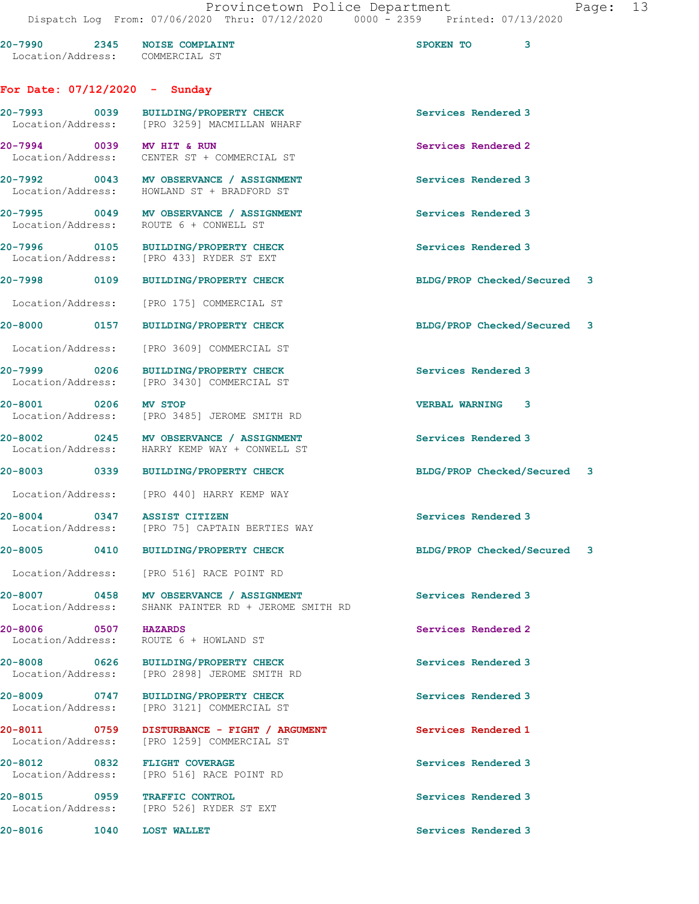|                                                                 | DISPACUL DOG TIOM. 07/00/2020 INIU. 07/IZ/2020                                                  | UUUU LJJJ                      |
|-----------------------------------------------------------------|-------------------------------------------------------------------------------------------------|--------------------------------|
| 20-7990 2345 NOISE COMPLAINT<br>Location/Address: COMMERCIAL ST |                                                                                                 | SPOKEN TO<br>3                 |
| For Date: $07/12/2020 -$ Sunday                                 |                                                                                                 |                                |
|                                                                 | 20-7993 0039 BUILDING/PROPERTY CHECK<br>Location/Address: [PRO 3259] MACMILLAN WHARF            | Services Rendered 3            |
| 20-7994 0039 MV HIT & RUN                                       | Location/Address: CENTER ST + COMMERCIAL ST                                                     | Services Rendered 2            |
|                                                                 | 20-7992 0043 MV OBSERVANCE / ASSIGNMENT<br>Location/Address: HOWLAND ST + BRADFORD ST           | Services Rendered 3            |
|                                                                 | 20-7995 0049 MV OBSERVANCE / ASSIGNMENT<br>Location/Address: ROUTE 6 + CONWELL ST               | Services Rendered 3            |
|                                                                 | 20-7996 0105 BUILDING/PROPERTY CHECK<br>Location/Address: [PRO 433] RYDER ST EXT                | Services Rendered 3            |
|                                                                 | 20-7998 0109 BUILDING/PROPERTY CHECK                                                            | BLDG/PROP Checked/Secured 3    |
| Location/Address:                                               | [PRO 175] COMMERCIAL ST                                                                         |                                |
|                                                                 | 20-8000 0157 BUILDING/PROPERTY CHECK                                                            | BLDG/PROP Checked/Secured 3    |
|                                                                 | Location/Address: [PRO 3609] COMMERCIAL ST                                                      |                                |
|                                                                 | 20-7999 0206 BUILDING/PROPERTY CHECK<br>Location/Address: [PRO 3430] COMMERCIAL ST              | Services Rendered 3            |
|                                                                 | 20-8001 0206 MV STOP<br>Location/Address: [PRO 3485] JEROME SMITH RD                            | <b>VERBAL WARNING 3</b>        |
|                                                                 | 20-8002 0245 MV OBSERVANCE / ASSIGNMENT<br>Location/Address: HARRY KEMP WAY + CONWELL ST        | Services Rendered 3            |
|                                                                 | 20-8003 0339 BUILDING/PROPERTY CHECK                                                            | BLDG/PROP Checked/Secured 3    |
|                                                                 | Location/Address: [PRO 440] HARRY KEMP WAY                                                      |                                |
| 20-8004 0347 ASSIST CITIZEN<br>Location/Address:                | [PRO 75] CAPTAIN BERTIES WAY                                                                    | Services Rendered 3            |
| 20-8005                                                         | 0410 BUILDING/PROPERTY CHECK                                                                    | BLDG/PROP Checked/Secured<br>3 |
|                                                                 | Location/Address: [PRO 516] RACE POINT RD                                                       |                                |
|                                                                 | 20-8007 0458 MV OBSERVANCE / ASSIGNMENT<br>Location/Address: SHANK PAINTER RD + JEROME SMITH RD | Services Rendered 3            |
| 20-8006 0507 HAZARDS                                            | Location/Address: ROUTE 6 + HOWLAND ST                                                          | Services Rendered 2            |
| Location/Address:                                               | 20-8008 0626 BUILDING/PROPERTY CHECK<br>[PRO 2898] JEROME SMITH RD                              | Services Rendered 3            |
| 20-8009 0747<br>Location/Address:                               | BUILDING/PROPERTY CHECK<br>[PRO 3121] COMMERCIAL ST                                             | Services Rendered 3            |
| 20-8011 0759<br>Location/Address:                               | DISTURBANCE - FIGHT / ARGUMENT<br>[PRO 1259] COMMERCIAL ST                                      | Services Rendered 1            |
| 20-8012 0832 FLIGHT COVERAGE                                    | Location/Address: [PRO 516] RACE POINT RD                                                       | Services Rendered 3            |
| 20-8015 0959 TRAFFIC CONTROL<br>Location/Address:               | [PRO 526] RYDER ST EXT                                                                          | Services Rendered 3            |
|                                                                 |                                                                                                 |                                |

20-8016 1040 LOST WALLET **Services Rendered 3**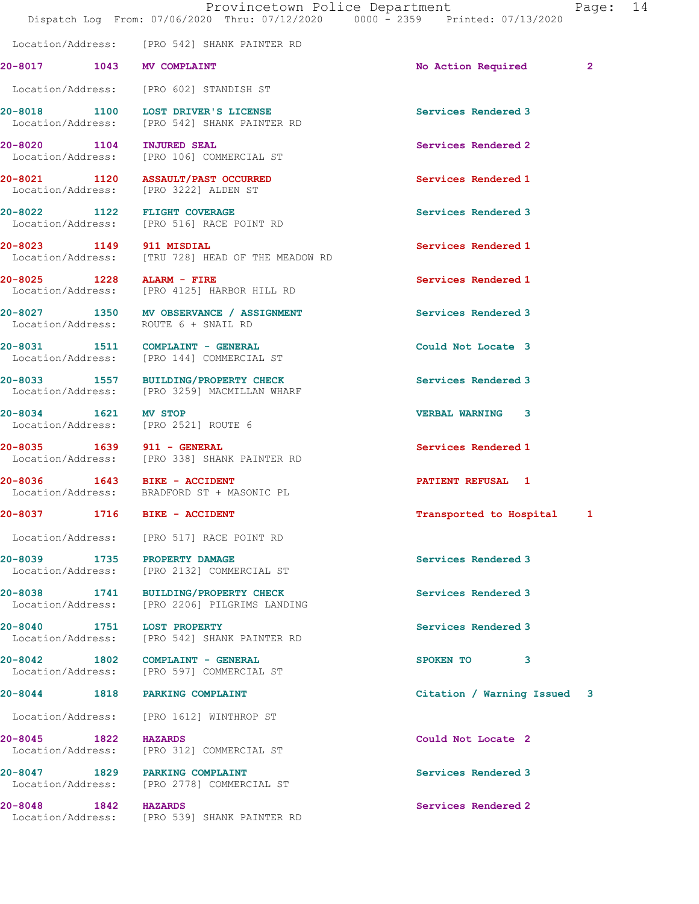20-8017 1043 MV COMPLAINT 2000 2000 No Action Required 2

20-8018 1100 LOST DRIVER'S LICENSE Services Rendered 3

Location/Address: [PRO 542] SHANK PAINTER RD

Location/Address: [PRO 542] SHANK PAINTER RD

Location/Address: [PRO 602] STANDISH ST

20-8020 1104 INJURED SEAL 20-8020 Services Rendered 2<br>
Location/Address: [PRO 106] COMMERCIAL ST [PRO 106] COMMERCIAL ST 20-8021 1120 ASSAULT/PAST OCCURRED Services Rendered 1 Location/Address: [PRO 3222] ALDEN ST 20-8022 1122 FLIGHT COVERAGE Services Rendered 3 Location/Address: [PRO 516] RACE POINT RD 20-8023 1149 911 MISDIAL Services Rendered 1 Location/Address: [TRU 728] HEAD OF THE MEADOW RD 20-8025 1228 ALARM - FIRE Services Rendered 1 Location/Address: [PRO 4125] HARBOR HILL RD 20-8027 1350 MV OBSERVANCE / ASSIGNMENT Services Rendered 3<br>
Location/Address: ROUTE 6 + SNAIL RD Location/Address: 20-8031 1511 COMPLAINT - GENERAL Could Not Locate 3 Location/Address: [PRO 144] COMMERCIAL ST 20-8033 1557 BUILDING/PROPERTY CHECK Services Rendered 3 Location/Address: [PRO 3259] MACMILLAN WHARF 20-8034 1621 MV STOP<br>
Location/Address: [PRO 2521] ROUTE 6 Location/Address: 20-8035 1639 911 - GENERAL Services Rendered 1 Location/Address: [PRO 338] SHANK PAINTER RD 20-8036 1643 BIKE - ACCIDENT PATIENT REFUSAL 1 Location/Address: BRADFORD ST + MASONIC PL 20-8037 1716 BIKE - ACCIDENT Transported to Hospital 1 Location/Address: [PRO 517] RACE POINT RD 20-8039 1735 PROPERTY DAMAGE Services Rendered 3 Location/Address: [PRO 2132] COMMERCIAL ST 20-8038 1741 BUILDING/PROPERTY CHECK Services Rendered 3 Location/Address: [PRO 2206] PILGRIMS LANDING 20-8040 1751 LOST PROPERTY<br>
Location/Address: [PRO 542] SHANK PAINTER RD<br>
Services Rendered 3 [PRO 542] SHANK PAINTER RD 20-8042 1802 COMPLAINT - GENERAL SPOKEN TO 3 Location/Address: [PRO 597] COMMERCIAL ST 20-8044 1818 PARKING COMPLAINT Citation / Warning Issued 3 Location/Address: [PRO 1612] WINTHROP ST 20-8045 1822 HAZARDS Could Not Locate 2 Location/Address: [PRO 312] COMMERCIAL ST 20-8047 1829 PARKING COMPLAINT Services Rendered 3 Location/Address: [PRO 2778] COMMERCIAL ST 20-8048 1842 HAZARDS Services Rendered 2 Location/Address: [PRO 539] SHANK PAINTER RD